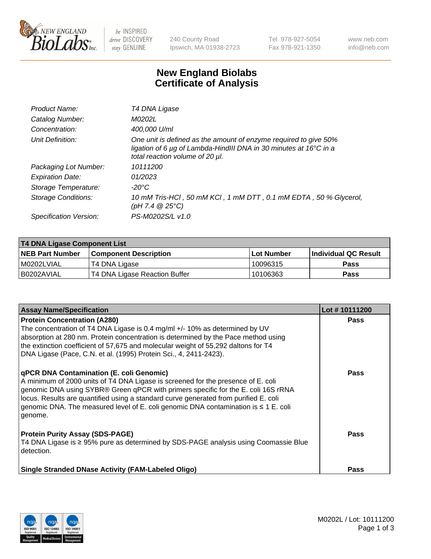

 $be$  INSPIRED drive DISCOVERY stay GENUINE

240 County Road Ipswich, MA 01938-2723 Tel 978-927-5054 Fax 978-921-1350 www.neb.com info@neb.com

## **New England Biolabs Certificate of Analysis**

| Product Name:              | T4 DNA Ligase                                                                                                                                                            |
|----------------------------|--------------------------------------------------------------------------------------------------------------------------------------------------------------------------|
| Catalog Number:            | M0202L                                                                                                                                                                   |
| Concentration:             | 400,000 U/ml                                                                                                                                                             |
| Unit Definition:           | One unit is defined as the amount of enzyme required to give 50%<br>ligation of 6 µg of Lambda-HindIII DNA in 30 minutes at 16°C in a<br>total reaction volume of 20 µl. |
| Packaging Lot Number:      | 10111200                                                                                                                                                                 |
| <b>Expiration Date:</b>    | 01/2023                                                                                                                                                                  |
| Storage Temperature:       | -20°C                                                                                                                                                                    |
| <b>Storage Conditions:</b> | 10 mM Tris-HCl, 50 mM KCl, 1 mM DTT, 0.1 mM EDTA, 50 % Glycerol,<br>(pH 7.4 $@25°C$ )                                                                                    |
| Specification Version:     | PS-M0202S/L v1.0                                                                                                                                                         |
|                            |                                                                                                                                                                          |

| T4 DNA Ligase Component List |                               |              |                             |  |
|------------------------------|-------------------------------|--------------|-----------------------------|--|
| <b>NEB Part Number</b>       | <b>Component Description</b>  | l Lot Number | <b>Individual QC Result</b> |  |
| M0202LVIAL                   | T4 DNA Ligase                 | 10096315     | <b>Pass</b>                 |  |
| I B0202AVIAL                 | T4 DNA Ligase Reaction Buffer | 10106363     | <b>Pass</b>                 |  |

| <b>Assay Name/Specification</b>                                                                                                                                                                                                                                                                                                                                                                                    | Lot #10111200 |
|--------------------------------------------------------------------------------------------------------------------------------------------------------------------------------------------------------------------------------------------------------------------------------------------------------------------------------------------------------------------------------------------------------------------|---------------|
| <b>Protein Concentration (A280)</b><br>The concentration of T4 DNA Ligase is 0.4 mg/ml +/- 10% as determined by UV<br>absorption at 280 nm. Protein concentration is determined by the Pace method using<br>the extinction coefficient of 57,675 and molecular weight of 55,292 daltons for T4<br>DNA Ligase (Pace, C.N. et al. (1995) Protein Sci., 4, 2411-2423).                                                | <b>Pass</b>   |
| <b>qPCR DNA Contamination (E. coli Genomic)</b><br>A minimum of 2000 units of T4 DNA Ligase is screened for the presence of E. coli<br>genomic DNA using SYBR® Green qPCR with primers specific for the E. coli 16S rRNA<br>locus. Results are quantified using a standard curve generated from purified E. coli<br>genomic DNA. The measured level of E. coli genomic DNA contamination is ≤ 1 E. coli<br>genome. | <b>Pass</b>   |
| <b>Protein Purity Assay (SDS-PAGE)</b><br>T4 DNA Ligase is ≥ 95% pure as determined by SDS-PAGE analysis using Coomassie Blue<br>detection.                                                                                                                                                                                                                                                                        | Pass          |
| <b>Single Stranded DNase Activity (FAM-Labeled Oligo)</b>                                                                                                                                                                                                                                                                                                                                                          | <b>Pass</b>   |

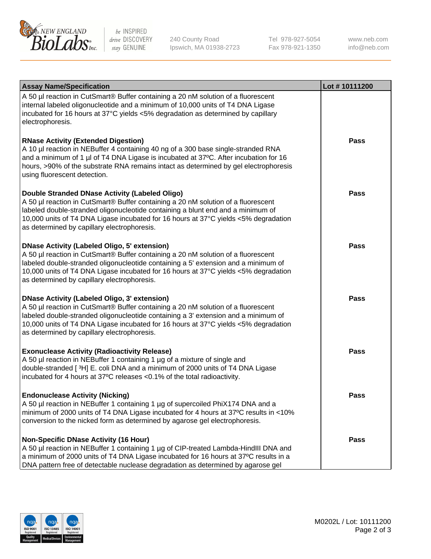

be INSPIRED drive DISCOVERY stay GENUINE

240 County Road Ipswich, MA 01938-2723 Tel 978-927-5054 Fax 978-921-1350

www.neb.com info@neb.com

| <b>Assay Name/Specification</b>                                                                                                                                                                                                                                                                                                                                      | Lot #10111200 |
|----------------------------------------------------------------------------------------------------------------------------------------------------------------------------------------------------------------------------------------------------------------------------------------------------------------------------------------------------------------------|---------------|
| A 50 µl reaction in CutSmart® Buffer containing a 20 nM solution of a fluorescent<br>internal labeled oligonucleotide and a minimum of 10,000 units of T4 DNA Ligase<br>incubated for 16 hours at 37°C yields <5% degradation as determined by capillary<br>electrophoresis.                                                                                         |               |
| <b>RNase Activity (Extended Digestion)</b><br>A 10 µl reaction in NEBuffer 4 containing 40 ng of a 300 base single-stranded RNA<br>and a minimum of 1 µl of T4 DNA Ligase is incubated at 37°C. After incubation for 16<br>hours, >90% of the substrate RNA remains intact as determined by gel electrophoresis<br>using fluorescent detection.                      | <b>Pass</b>   |
| Double Stranded DNase Activity (Labeled Oligo)<br>A 50 µl reaction in CutSmart® Buffer containing a 20 nM solution of a fluorescent<br>labeled double-stranded oligonucleotide containing a blunt end and a minimum of<br>10,000 units of T4 DNA Ligase incubated for 16 hours at 37°C yields <5% degradation<br>as determined by capillary electrophoresis.         | <b>Pass</b>   |
| <b>DNase Activity (Labeled Oligo, 5' extension)</b><br>A 50 µl reaction in CutSmart® Buffer containing a 20 nM solution of a fluorescent<br>labeled double-stranded oligonucleotide containing a 5' extension and a minimum of<br>10,000 units of T4 DNA Ligase incubated for 16 hours at 37°C yields <5% degradation<br>as determined by capillary electrophoresis. | <b>Pass</b>   |
| <b>DNase Activity (Labeled Oligo, 3' extension)</b><br>A 50 µl reaction in CutSmart® Buffer containing a 20 nM solution of a fluorescent<br>labeled double-stranded oligonucleotide containing a 3' extension and a minimum of<br>10,000 units of T4 DNA Ligase incubated for 16 hours at 37°C yields <5% degradation<br>as determined by capillary electrophoresis. | <b>Pass</b>   |
| <b>Exonuclease Activity (Radioactivity Release)</b><br>A 50 µl reaction in NEBuffer 1 containing 1 µg of a mixture of single and<br>double-stranded [3H] E. coli DNA and a minimum of 2000 units of T4 DNA Ligase<br>incubated for 4 hours at 37°C releases <0.1% of the total radioactivity.                                                                        | <b>Pass</b>   |
| <b>Endonuclease Activity (Nicking)</b><br>A 50 µl reaction in NEBuffer 1 containing 1 µg of supercoiled PhiX174 DNA and a<br>minimum of 2000 units of T4 DNA Ligase incubated for 4 hours at 37°C results in <10%<br>conversion to the nicked form as determined by agarose gel electrophoresis.                                                                     | <b>Pass</b>   |
| <b>Non-Specific DNase Activity (16 Hour)</b><br>A 50 µl reaction in NEBuffer 1 containing 1 µg of CIP-treated Lambda-HindIII DNA and<br>a minimum of 2000 units of T4 DNA Ligase incubated for 16 hours at 37°C results in a<br>DNA pattern free of detectable nuclease degradation as determined by agarose gel                                                     | <b>Pass</b>   |